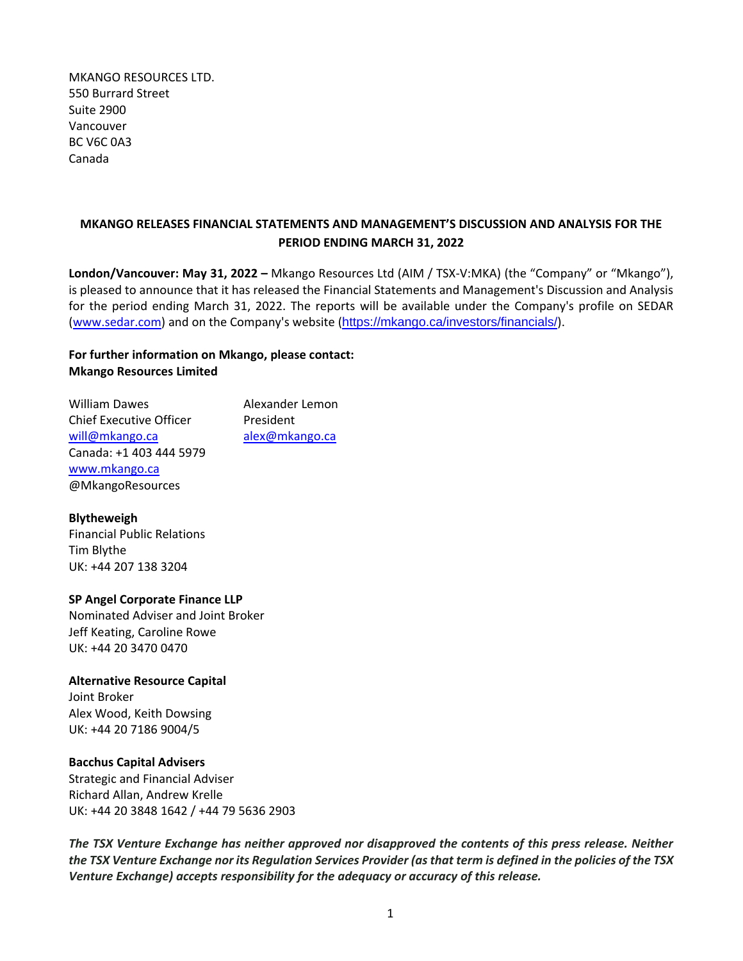MKANGO RESOURCES LTD. 550 Burrard Street Suite 2900 Vancouver BC V6C 0A3 Canada

## **MKANGO RELEASES FINANCIAL STATEMENTS AND MANAGEMENT'S DISCUSSION AND ANALYSIS FOR THE PERIOD ENDING MARCH 31, 2022**

**London/Vancouver: May 31, 2022 –** Mkango Resources Ltd (AIM / TSX-V:MKA) (the "Company" or "Mkango"), is pleased to announce that it has released the Financial Statements and Management's Discussion and Analysis for the period ending March 31, 2022. The reports will be available under the Company's profile on SEDAR [\(www.sedar.com\)](http://www.sedar.com/) and on the Company's website (<https://mkango.ca/investors/financials/>).

# **For further information on Mkango, please contact: Mkango Resources Limited**

William Dawes **Alexander Lemon** Chief Executive Officer President will@mkango.ca alex@mkango.ca Canada: +1 403 444 5979 [www.mkango.ca](http://www.mkango.ca/) @MkangoResources

### **Blytheweigh**

Financial Public Relations Tim Blythe UK: +44 207 138 3204

### **SP Angel Corporate Finance LLP**

Nominated Adviser and Joint Broker Jeff Keating, Caroline Rowe UK: +44 20 3470 0470

### **Alternative Resource Capital**

Joint Broker Alex Wood, Keith Dowsing UK: +44 20 7186 9004/5

### **Bacchus Capital Advisers**

Strategic and Financial Adviser Richard Allan, Andrew Krelle UK: +44 20 3848 1642 / +44 79 5636 2903

*The TSX Venture Exchange has neither approved nor disapproved the contents of this press release. Neither the TSX Venture Exchange nor its Regulation Services Provider (as that term is defined in the policies of the TSX Venture Exchange) accepts responsibility for the adequacy or accuracy of this release.*